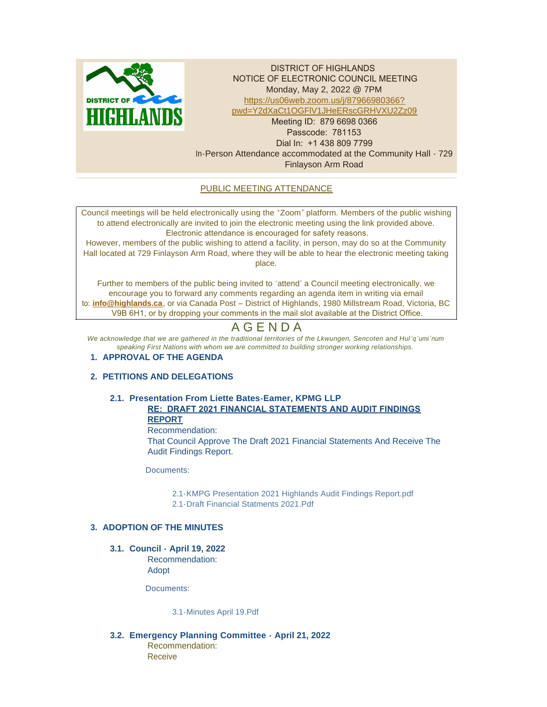

DISTRICT OF HIGHLANDS NOTICE OF ELECTRONIC COUNCIL MEETING Monday, May 2, 2022 @ 7PM https://us06web.zoom.us/j/87966980366? pw[d=Y2dXaCt1OGFlV1JHeERscGRHVXU2Zz09](https://us06web.zoom.us/j/87966980366?pwd=Y2dXaCt1OGFlV1JHeERscGRHVXU2Zz09) Meeting ID: 879 6698 0366 Passcode: 781153 Dial In: +1 438 809 7799 In-Person Attendance accommodated at the Community Hall - 729 Finlayson Arm Road

# PUBLIC MEETING ATTENDANCE

Council meetings will be held electronically using the "Zoom" platform. Members of the public wishing to attend electronically are invited to join the electronic meeting using the link provided above. Electronic attendance is encouraged for safety reasons.

However, members of the public wishing to attend a facility, in person, may do so at the Community Hall located at 729 Finlayson Arm Road, where they will be able to hear the electronic meeting taking place.

Further to members of the public being invited to 'attend' a Council meeting electronically, we encourage you to forward any comments regarding an agenda item in writing via email to: **[info@highlands.ca](mailto:info@highlands.ca)**, or via Canada Post – District of Highlands, 1980 Millstream Road, Victoria, BC V9B 6H1, or by dropping your comments in the mail slot available at the District Office.

# A G E N D A

*We acknowledge that we are gathered in the traditional territories of the Lkwungen, Sencoten and Hul 'q'umi'num speaking First Nations with whom we are committed to building stronger working relationships.*

# **APPROVAL OF THE AGENDA 1.**

# **PETITIONS AND DELEGATIONS 2.**

# **Presentation From Liette Bates-Eamer, KPMG LLP 2.1. RE: DRAFT 2021 FINANCIAL STATEMENTS AND AUDIT FINDINGS**

**REPORT** Recommendation: That Council Approve The Draft 2021 Financial Statements And Receive The Audit Findings Report.

Documents:

[2.1-KMPG Presentation 2021 Highlands Audit Findings Report.pdf](https://www.highlands.ca/AgendaCenter/ViewFile/Item/7111?fileID=6722) [2.1-Draft Financial Statments 2021.Pdf](https://www.highlands.ca/AgendaCenter/ViewFile/Item/7111?fileID=6723)

# **ADOPTION OF THE MINUTES 3.**

**Council - April 19, 2022 3.1.** Recommendation:

Adopt

Documents:

[3.1-Minutes April 19.Pdf](https://www.highlands.ca/AgendaCenter/ViewFile/Item/7112?fileID=6724)

**Emergency Planning Committee - April 21, 2022 3.2.** Recommendation: **Receive**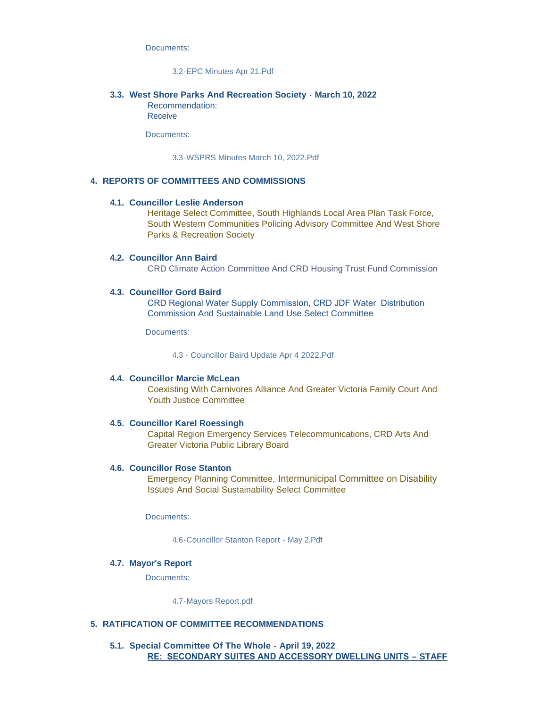Documents:

## [3.2-EPC Minutes Apr 21.Pdf](https://www.highlands.ca/AgendaCenter/ViewFile/Item/7113?fileID=6725)

## **West Shore Parks And Recreation Society - March 10, 2022 3.3.**

Recommendation: Receive

Documents:

[3.3-WSPRS Minutes March 10, 2022.Pdf](https://www.highlands.ca/AgendaCenter/ViewFile/Item/7114?fileID=6726)

## **REPORTS OF COMMITTEES AND COMMISSIONS 4.**

#### **Councillor Leslie Anderson 4.1.**

Heritage Select Committee, South Highlands Local Area Plan Task Force, South Western Communities Policing Advisory Committee And West Shore Parks & Recreation Society

## **Councillor Ann Baird 4.2.**

CRD Climate Action Committee And CRD Housing Trust Fund Commission

## **Councillor Gord Baird 4.3.**

CRD Regional Water Supply Commission, CRD JDF Water Distribution Commission And Sustainable Land Use Select Committee

Documents:

[4.3 - Councillor Baird Update Apr 4 2022.Pdf](https://www.highlands.ca/AgendaCenter/ViewFile/Item/7096?fileID=6720)

## **Councillor Marcie McLean 4.4.**

Coexisting With Carnivores Alliance And Greater Victoria Family Court And Youth Justice Committee

## **Councillor Karel Roessingh 4.5.**

Capital Region Emergency Services Telecommunications, CRD Arts And Greater Victoria Public Library Board

#### **4.6. Councillor Rose Stanton**

Emergency Planning Committee, Intermunicipal Committee on Disability Issues And Social Sustainability Select Committee

Documents:

[4.6-Councillor Stanton Report - May 2.Pdf](https://www.highlands.ca/AgendaCenter/ViewFile/Item/7099?fileID=6727)

#### **Mayor's Report 4.7.**

Documents:

[4.7-Mayors Report.pdf](https://www.highlands.ca/AgendaCenter/ViewFile/Item/7100?fileID=6728)

#### **RATIFICATION OF COMMITTEE RECOMMENDATIONS 5.**

**Special Committee Of The Whole - April 19, 2022 5.1. RE: SECONDARY SUITES AND ACCESSORY DWELLING UNITS – STAFF**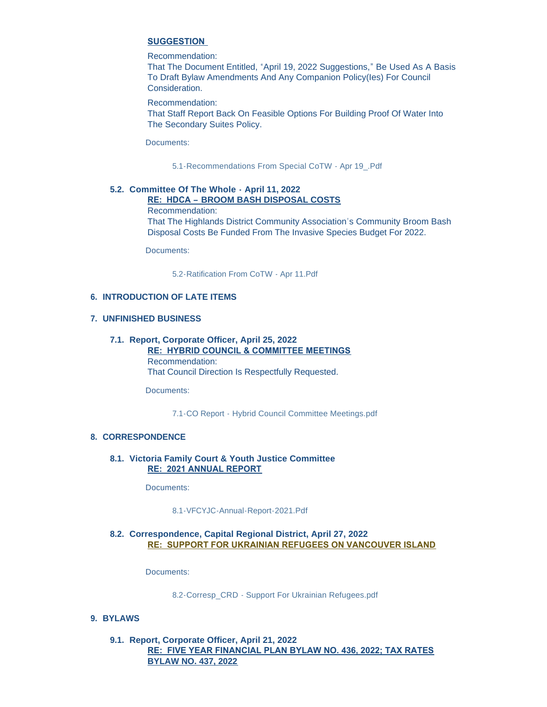# **SUGGESTION**

## Recommendation:

That The Document Entitled, "April 19, 2022 Suggestions," Be Used As A Basis To Draft Bylaw Amendments And Any Companion Policy(Ies) For Council Consideration.

Recommendation:

That Staff Report Back On Feasible Options For Building Proof Of Water Into The Secondary Suites Policy.

Documents:

[5.1-Recommendations From Special CoTW -](https://www.highlands.ca/AgendaCenter/ViewFile/Item/7115?fileID=6729) Apr 19\_.Pdf

## **Committee Of The Whole - April 11, 2022 5.2. RE: HDCA – BROOM BASH DISPOSAL COSTS**

Recommendation:

That The Highlands District Community Association's Community Broom Bash Disposal Costs Be Funded From The Invasive Species Budget For 2022.

Documents:

[5.2-Ratification From CoTW -](https://www.highlands.ca/AgendaCenter/ViewFile/Item/7116?fileID=6730) Apr 11.Pdf

## **INTRODUCTION OF LATE ITEMS 6.**

## **UNFINISHED BUSINESS 7.**

# **Report, Corporate Officer, April 25, 2022 7.1.**

**RE: HYBRID COUNCIL & COMMITTEE MEETINGS** Recommendation: That Council Direction Is Respectfully Requested.

Documents:

[7.1-CO Report - Hybrid Council Committee Meetings.pdf](https://www.highlands.ca/AgendaCenter/ViewFile/Item/7117?fileID=6731)

# **CORRESPONDENCE 8.**

## **Victoria Family Court & Youth Justice Committee 8.1. RE: 2021 ANNUAL REPORT**

Documents:

[8.1-VFCYJC-Annual-Report-2021.Pdf](https://www.highlands.ca/AgendaCenter/ViewFile/Item/7118?fileID=6732)

# **Correspondence, Capital Regional District, April 27, 2022 8.2. RE: SUPPORT FOR UKRAINIAN REFUGEES ON VANCOUVER ISLAND**

Documents:

8.2-Corresp\_CRD - [Support For Ukrainian Refugees.pdf](https://www.highlands.ca/AgendaCenter/ViewFile/Item/7119?fileID=6733)

# **BYLAWS 9.**

# **Report, Corporate Officer, April 21, 2022 9.1. RE: FIVE YEAR FINANCIAL PLAN BYLAW NO. 436, 2022; TAX RATES BYLAW NO. 437, 2022**